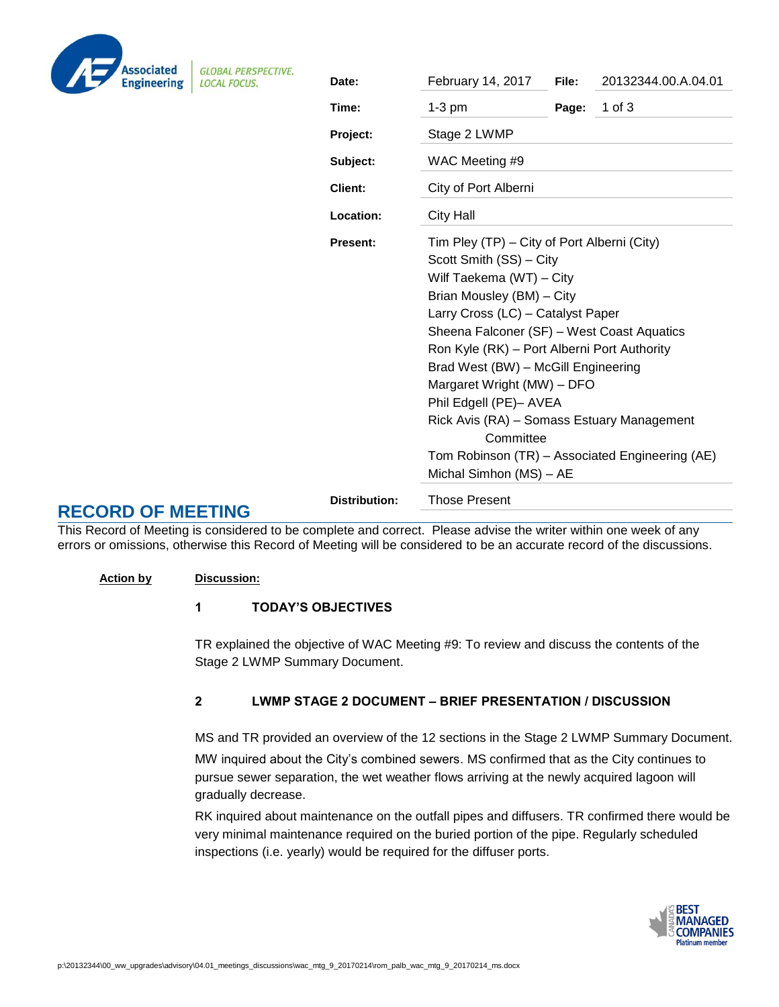| <b>Associated</b><br><b>Engineering</b> |
|-----------------------------------------|

**GLOBAL PERSPECTIVE. LOCAL FOCUS.** 

| ECTIVE. | Date:                | February 14, 2017                                                                                                                                                                                                                                                                                                                                                                                                                                                                                         | File: | 20132344.00.A.04.01 |  |  |
|---------|----------------------|-----------------------------------------------------------------------------------------------------------------------------------------------------------------------------------------------------------------------------------------------------------------------------------------------------------------------------------------------------------------------------------------------------------------------------------------------------------------------------------------------------------|-------|---------------------|--|--|
|         | Time:                | $1-3$ pm                                                                                                                                                                                                                                                                                                                                                                                                                                                                                                  | Page: | $1$ of $3$          |  |  |
|         | Project:             | Stage 2 LWMP                                                                                                                                                                                                                                                                                                                                                                                                                                                                                              |       |                     |  |  |
|         | Subject:             | WAC Meeting #9<br>City of Port Alberni<br><b>City Hall</b>                                                                                                                                                                                                                                                                                                                                                                                                                                                |       |                     |  |  |
|         | <b>Client:</b>       |                                                                                                                                                                                                                                                                                                                                                                                                                                                                                                           |       |                     |  |  |
|         | Location:            |                                                                                                                                                                                                                                                                                                                                                                                                                                                                                                           |       |                     |  |  |
|         | <b>Present:</b>      | Tim Pley (TP) – City of Port Alberni (City)<br>Scott Smith (SS) - City<br>Wilf Taekema (WT) - City<br>Brian Mousley (BM) - City<br>Larry Cross (LC) - Catalyst Paper<br>Sheena Falconer (SF) - West Coast Aquatics<br>Ron Kyle (RK) - Port Alberni Port Authority<br>Brad West (BW) - McGill Engineering<br>Margaret Wright (MW) - DFO<br>Phil Edgell (PE)- AVEA<br>Rick Avis (RA) - Somass Estuary Management<br>Committee<br>Tom Robinson (TR) - Associated Engineering (AE)<br>Michal Simhon (MS) - AE |       |                     |  |  |
|         |                      |                                                                                                                                                                                                                                                                                                                                                                                                                                                                                                           |       |                     |  |  |
|         | <b>Distribution:</b> | <b>Those Present</b>                                                                                                                                                                                                                                                                                                                                                                                                                                                                                      |       |                     |  |  |

This Record of Meeting is considered to be complete and correct. Please advise the writer within one week of any errors or omissions, otherwise this Record of Meeting will be considered to be an accurate record of the discussions.

### **Action by Discussion:**

**RECORD OF MEETING**

## 1 TODAY'S OBJECTIVES

TR explained the objective of WAC Meeting #9: To review and discuss the contents of the Stage 2 LWMP Summary Document.

## 2 LWMP STAGE 2 DOCUMENT – BRIEF PRESENTATION / DISCUSSION

MS and TR provided an overview of the 12 sections in the Stage 2 LWMP Summary Document. MW inquired about the City's combined sewers. MS confirmed that as the City continues to pursue sewer separation, the wet weather flows arriving at the newly acquired lagoon will gradually decrease.

RK inquired about maintenance on the outfall pipes and diffusers. TR confirmed there would be very minimal maintenance required on the buried portion of the pipe. Regularly scheduled inspections (i.e. yearly) would be required for the diffuser ports.

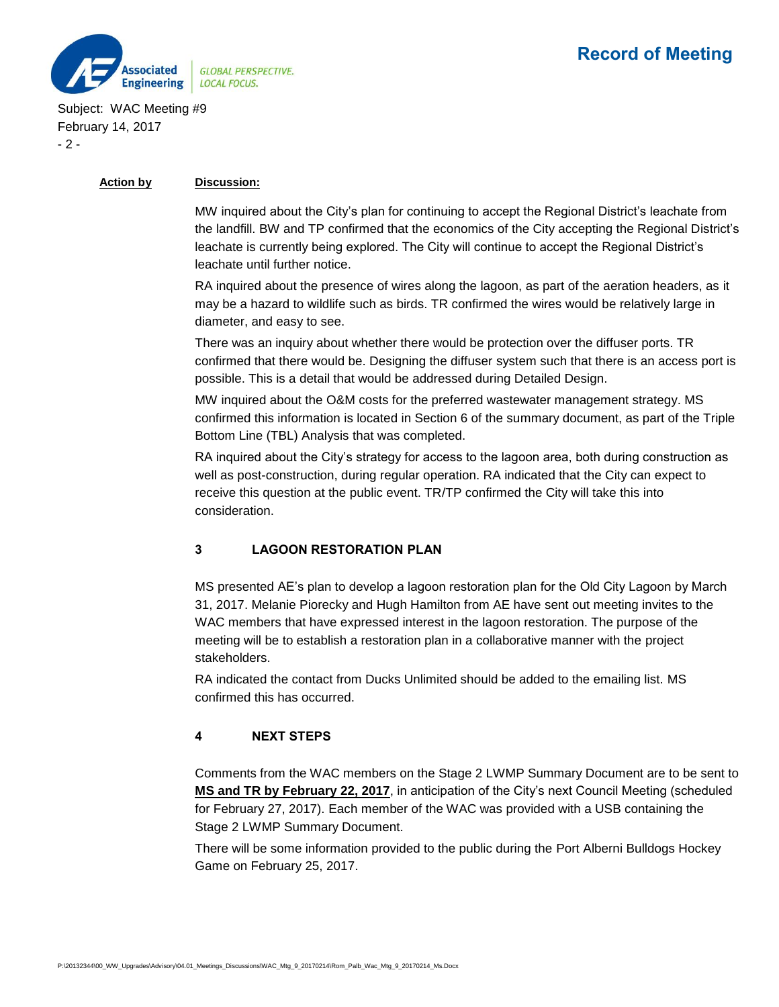

Subject: WAC Meeting #9 February 14, 2017 - 2 -

#### **Action by Discussion:**

MW inquired about the City's plan for continuing to accept the Regional District's leachate from the landfill. BW and TP confirmed that the economics of the City accepting the Regional District's leachate is currently being explored. The City will continue to accept the Regional District's leachate until further notice.

RA inquired about the presence of wires along the lagoon, as part of the aeration headers, as it may be a hazard to wildlife such as birds. TR confirmed the wires would be relatively large in diameter, and easy to see.

There was an inquiry about whether there would be protection over the diffuser ports. TR confirmed that there would be. Designing the diffuser system such that there is an access port is possible. This is a detail that would be addressed during Detailed Design.

MW inquired about the O&M costs for the preferred wastewater management strategy. MS confirmed this information is located in Section 6 of the summary document, as part of the Triple Bottom Line (TBL) Analysis that was completed.

RA inquired about the City's strategy for access to the lagoon area, both during construction as well as post-construction, during regular operation. RA indicated that the City can expect to receive this question at the public event. TR/TP confirmed the City will take this into consideration.

## 3 LAGOON RESTORATION PLAN

MS presented AE's plan to develop a lagoon restoration plan for the Old City Lagoon by March 31, 2017. Melanie Piorecky and Hugh Hamilton from AE have sent out meeting invites to the WAC members that have expressed interest in the lagoon restoration. The purpose of the meeting will be to establish a restoration plan in a collaborative manner with the project stakeholders.

RA indicated the contact from Ducks Unlimited should be added to the emailing list. MS confirmed this has occurred.

## 4 NEXT STEPS

Comments from the WAC members on the Stage 2 LWMP Summary Document are to be sent to **MS and TR by February 22, 2017**, in anticipation of the City's next Council Meeting (scheduled for February 27, 2017). Each member of the WAC was provided with a USB containing the Stage 2 LWMP Summary Document.

There will be some information provided to the public during the Port Alberni Bulldogs Hockey Game on February 25, 2017.